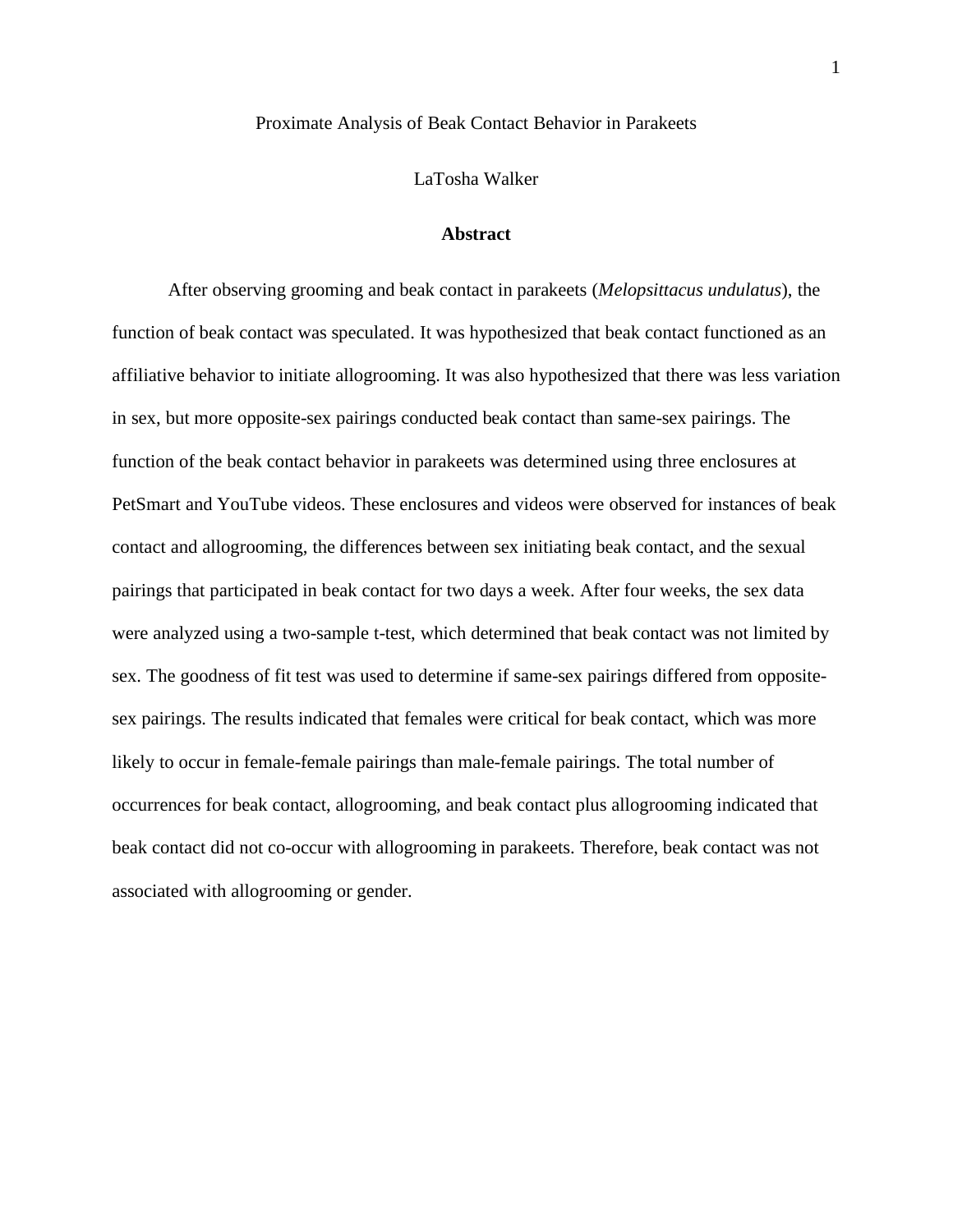# Proximate Analysis of Beak Contact Behavior in Parakeets

#### LaTosha Walker

# **Abstract**

After observing grooming and beak contact in parakeets (*Melopsittacus undulatus*), the function of beak contact was speculated. It was hypothesized that beak contact functioned as an affiliative behavior to initiate allogrooming. It was also hypothesized that there was less variation in sex, but more opposite-sex pairings conducted beak contact than same-sex pairings. The function of the beak contact behavior in parakeets was determined using three enclosures at PetSmart and YouTube videos. These enclosures and videos were observed for instances of beak contact and allogrooming, the differences between sex initiating beak contact, and the sexual pairings that participated in beak contact for two days a week. After four weeks, the sex data were analyzed using a two-sample t-test, which determined that beak contact was not limited by sex. The goodness of fit test was used to determine if same-sex pairings differed from oppositesex pairings. The results indicated that females were critical for beak contact, which was more likely to occur in female-female pairings than male-female pairings. The total number of occurrences for beak contact, allogrooming, and beak contact plus allogrooming indicated that beak contact did not co-occur with allogrooming in parakeets. Therefore, beak contact was not associated with allogrooming or gender.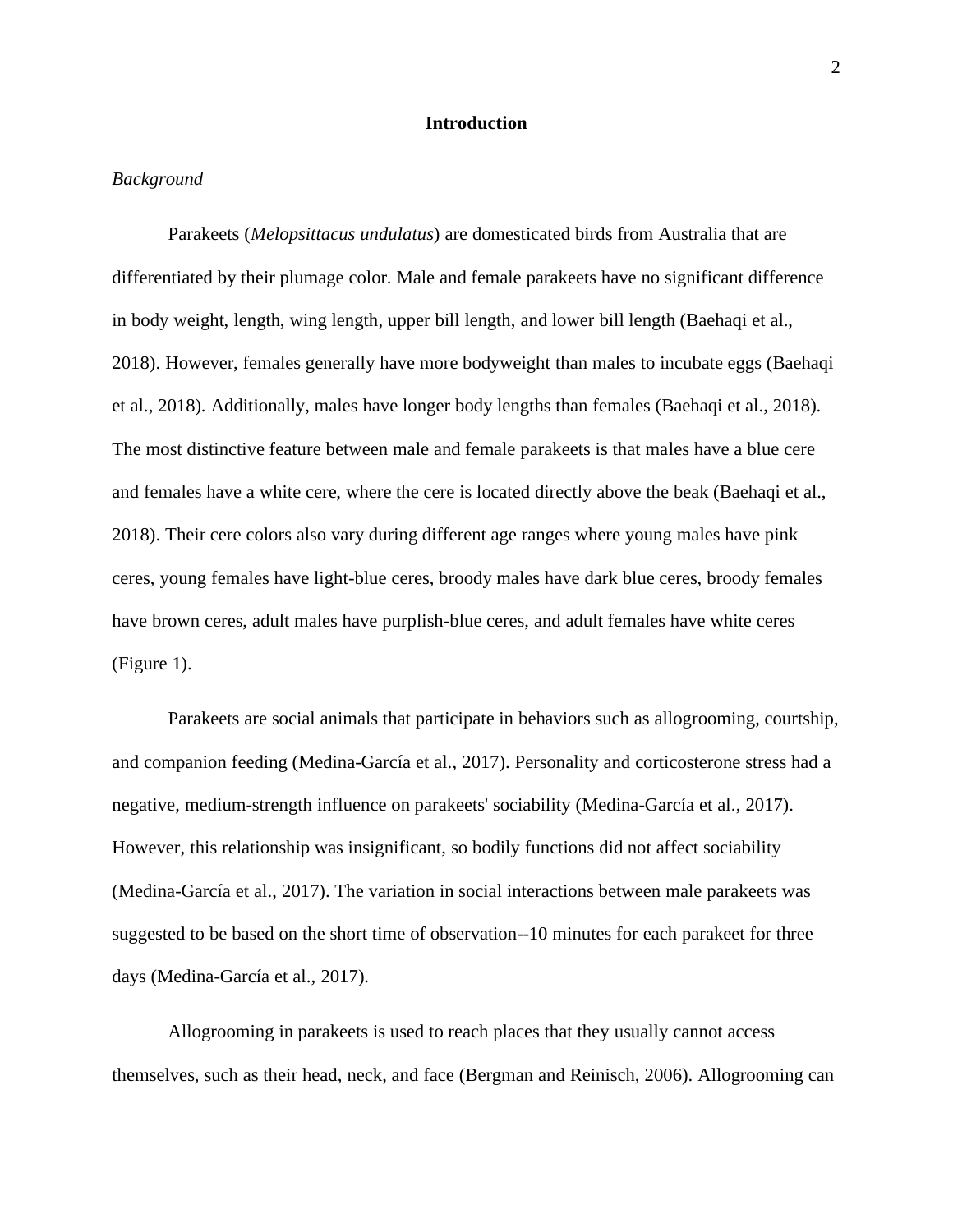## **Introduction**

## *Background*

Parakeets (*Melopsittacus undulatus*) are domesticated birds from Australia that are differentiated by their plumage color. Male and female parakeets have no significant difference in body weight, length, wing length, upper bill length, and lower bill length (Baehaqi et al., 2018). However, females generally have more bodyweight than males to incubate eggs (Baehaqi et al., 2018). Additionally, males have longer body lengths than females (Baehaqi et al., 2018). The most distinctive feature between male and female parakeets is that males have a blue cere and females have a white cere, where the cere is located directly above the beak (Baehaqi et al., 2018). Their cere colors also vary during different age ranges where young males have pink ceres, young females have light-blue ceres, broody males have dark blue ceres, broody females have brown ceres, adult males have purplish-blue ceres, and adult females have white ceres (Figure 1).

Parakeets are social animals that participate in behaviors such as allogrooming, courtship, and companion feeding (Medina-García et al., 2017). Personality and corticosterone stress had a negative, medium-strength influence on parakeets' sociability (Medina-García et al., 2017). However, this relationship was insignificant, so bodily functions did not affect sociability (Medina-García et al., 2017). The variation in social interactions between male parakeets was suggested to be based on the short time of observation--10 minutes for each parakeet for three days (Medina-García et al., 2017).

Allogrooming in parakeets is used to reach places that they usually cannot access themselves, such as their head, neck, and face (Bergman and Reinisch, 2006). Allogrooming can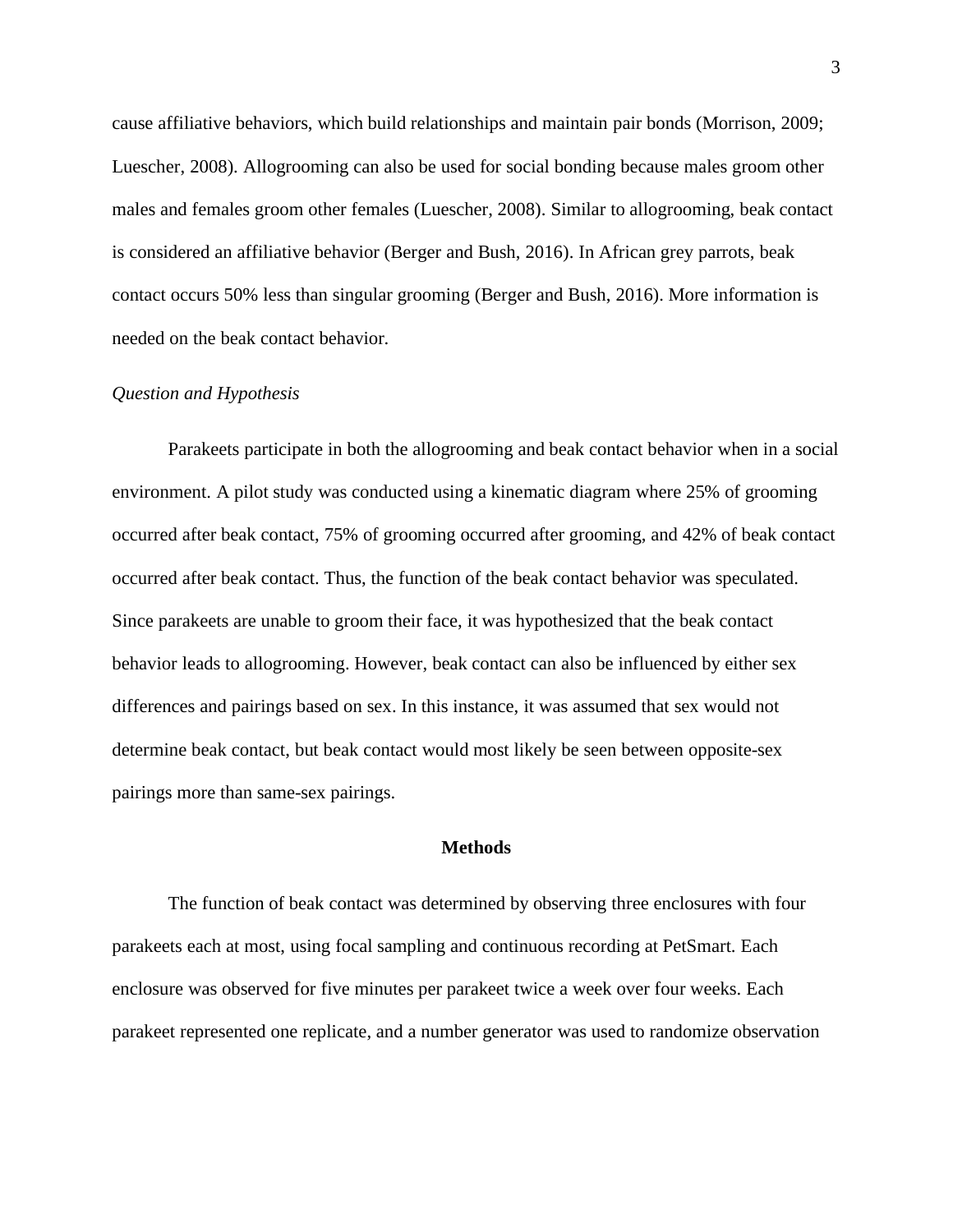cause affiliative behaviors, which build relationships and maintain pair bonds (Morrison, 2009; Luescher, 2008). Allogrooming can also be used for social bonding because males groom other males and females groom other females (Luescher, 2008). Similar to allogrooming, beak contact is considered an affiliative behavior (Berger and Bush, 2016). In African grey parrots, beak contact occurs 50% less than singular grooming (Berger and Bush, 2016). More information is needed on the beak contact behavior.

# *Question and Hypothesis*

Parakeets participate in both the allogrooming and beak contact behavior when in a social environment. A pilot study was conducted using a kinematic diagram where 25% of grooming occurred after beak contact, 75% of grooming occurred after grooming, and 42% of beak contact occurred after beak contact. Thus, the function of the beak contact behavior was speculated. Since parakeets are unable to groom their face, it was hypothesized that the beak contact behavior leads to allogrooming. However, beak contact can also be influenced by either sex differences and pairings based on sex. In this instance, it was assumed that sex would not determine beak contact, but beak contact would most likely be seen between opposite-sex pairings more than same-sex pairings.

# **Methods**

The function of beak contact was determined by observing three enclosures with four parakeets each at most, using focal sampling and continuous recording at PetSmart. Each enclosure was observed for five minutes per parakeet twice a week over four weeks. Each parakeet represented one replicate, and a number generator was used to randomize observation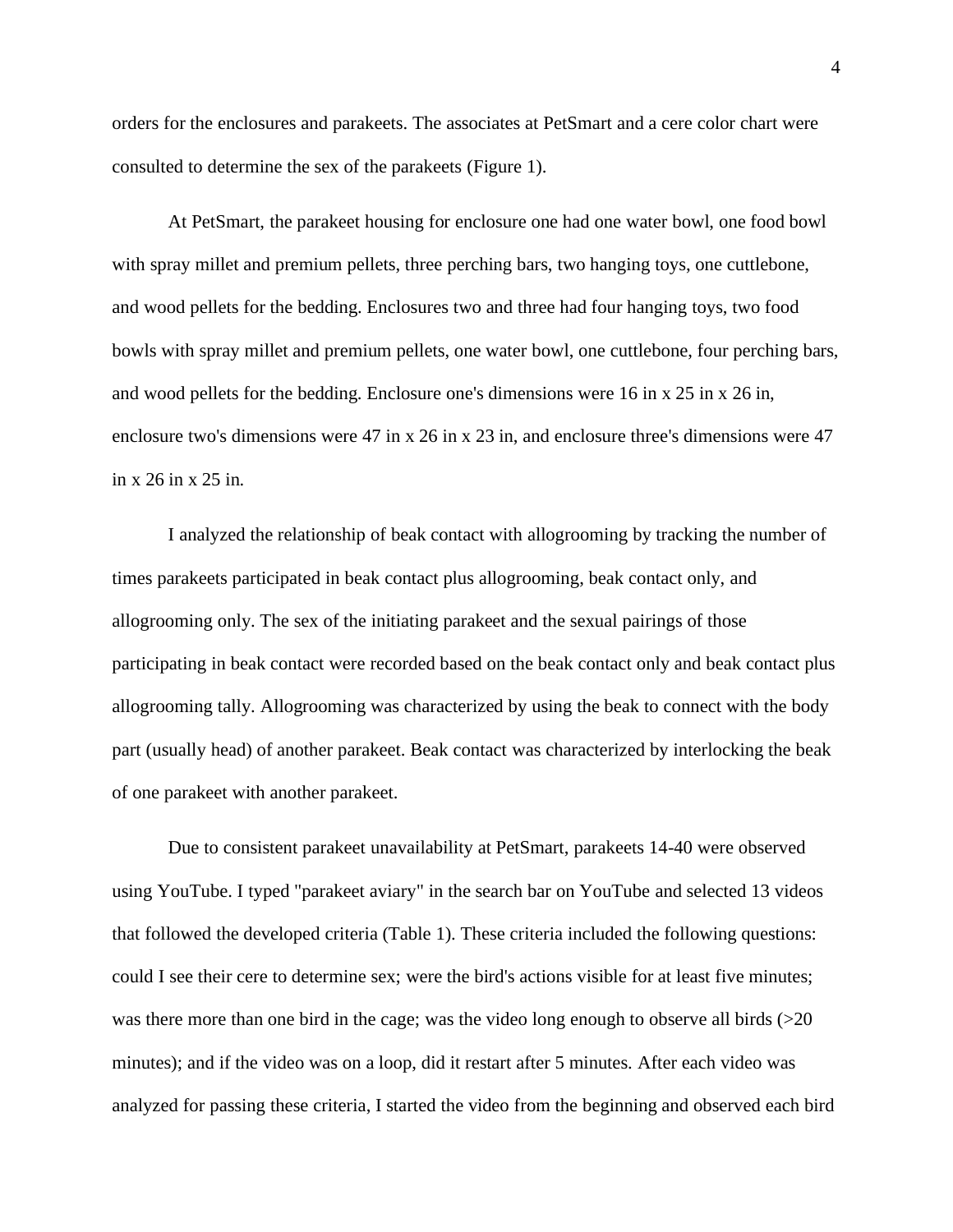orders for the enclosures and parakeets. The associates at PetSmart and a cere color chart were consulted to determine the sex of the parakeets (Figure 1).

At PetSmart, the parakeet housing for enclosure one had one water bowl, one food bowl with spray millet and premium pellets, three perching bars, two hanging toys, one cuttlebone, and wood pellets for the bedding. Enclosures two and three had four hanging toys, two food bowls with spray millet and premium pellets, one water bowl, one cuttlebone, four perching bars, and wood pellets for the bedding. Enclosure one's dimensions were 16 in x 25 in x 26 in, enclosure two's dimensions were 47 in x 26 in x 23 in, and enclosure three's dimensions were 47 in x 26 in x 25 in.

I analyzed the relationship of beak contact with allogrooming by tracking the number of times parakeets participated in beak contact plus allogrooming, beak contact only, and allogrooming only. The sex of the initiating parakeet and the sexual pairings of those participating in beak contact were recorded based on the beak contact only and beak contact plus allogrooming tally. Allogrooming was characterized by using the beak to connect with the body part (usually head) of another parakeet. Beak contact was characterized by interlocking the beak of one parakeet with another parakeet.

Due to consistent parakeet unavailability at PetSmart, parakeets 14-40 were observed using YouTube. I typed "parakeet aviary" in the search bar on YouTube and selected 13 videos that followed the developed criteria (Table 1). These criteria included the following questions: could I see their cere to determine sex; were the bird's actions visible for at least five minutes; was there more than one bird in the cage; was the video long enough to observe all birds (>20 minutes); and if the video was on a loop, did it restart after 5 minutes. After each video was analyzed for passing these criteria, I started the video from the beginning and observed each bird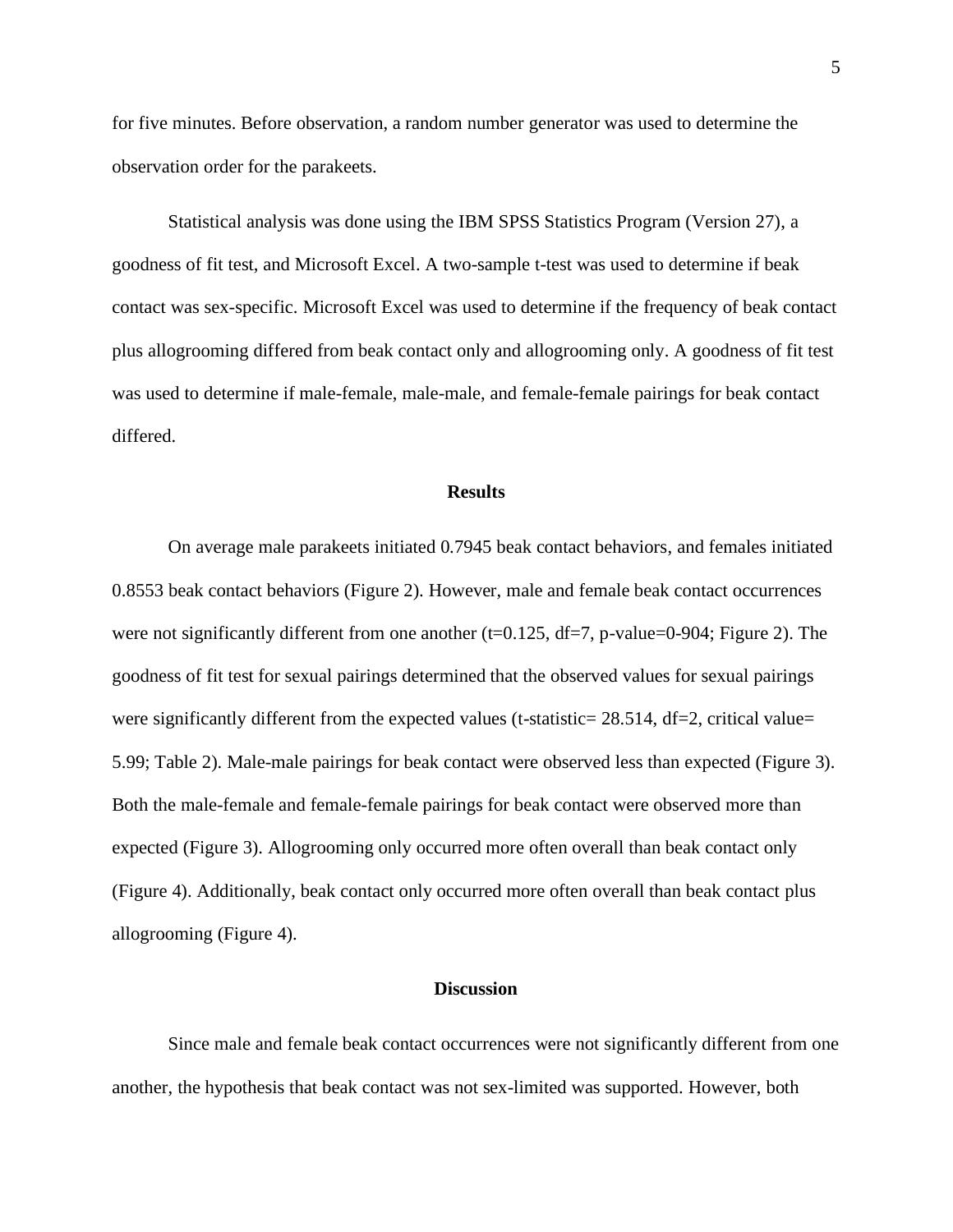for five minutes. Before observation, a random number generator was used to determine the observation order for the parakeets.

Statistical analysis was done using the IBM SPSS Statistics Program (Version 27), a goodness of fit test, and Microsoft Excel. A two-sample t-test was used to determine if beak contact was sex-specific. Microsoft Excel was used to determine if the frequency of beak contact plus allogrooming differed from beak contact only and allogrooming only. A goodness of fit test was used to determine if male-female, male-male, and female-female pairings for beak contact differed.

#### **Results**

On average male parakeets initiated 0.7945 beak contact behaviors, and females initiated 0.8553 beak contact behaviors (Figure 2). However, male and female beak contact occurrences were not significantly different from one another ( $t=0.125$ ,  $df=7$ , p-value=0-904; Figure 2). The goodness of fit test for sexual pairings determined that the observed values for sexual pairings were significantly different from the expected values (t-statistic=  $28.514$ , df=2, critical value= 5.99; Table 2). Male-male pairings for beak contact were observed less than expected (Figure 3). Both the male-female and female-female pairings for beak contact were observed more than expected (Figure 3). Allogrooming only occurred more often overall than beak contact only (Figure 4). Additionally, beak contact only occurred more often overall than beak contact plus allogrooming (Figure 4).

#### **Discussion**

Since male and female beak contact occurrences were not significantly different from one another, the hypothesis that beak contact was not sex-limited was supported. However, both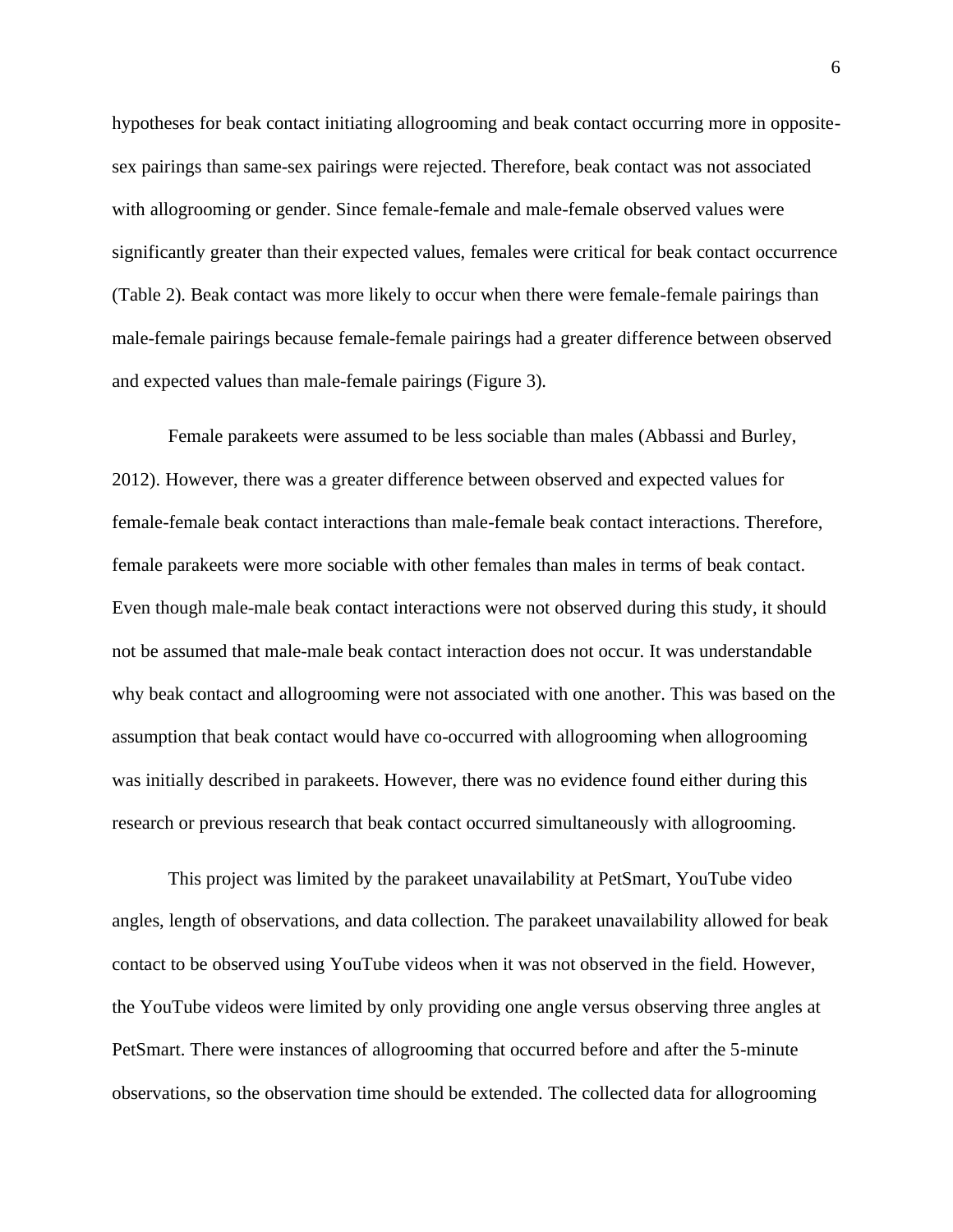hypotheses for beak contact initiating allogrooming and beak contact occurring more in oppositesex pairings than same-sex pairings were rejected. Therefore, beak contact was not associated with allogrooming or gender. Since female-female and male-female observed values were significantly greater than their expected values, females were critical for beak contact occurrence (Table 2). Beak contact was more likely to occur when there were female-female pairings than male-female pairings because female-female pairings had a greater difference between observed and expected values than male-female pairings (Figure 3).

Female parakeets were assumed to be less sociable than males (Abbassi and Burley, 2012). However, there was a greater difference between observed and expected values for female-female beak contact interactions than male-female beak contact interactions. Therefore, female parakeets were more sociable with other females than males in terms of beak contact. Even though male-male beak contact interactions were not observed during this study, it should not be assumed that male-male beak contact interaction does not occur. It was understandable why beak contact and allogrooming were not associated with one another. This was based on the assumption that beak contact would have co-occurred with allogrooming when allogrooming was initially described in parakeets. However, there was no evidence found either during this research or previous research that beak contact occurred simultaneously with allogrooming.

This project was limited by the parakeet unavailability at PetSmart, YouTube video angles, length of observations, and data collection. The parakeet unavailability allowed for beak contact to be observed using YouTube videos when it was not observed in the field. However, the YouTube videos were limited by only providing one angle versus observing three angles at PetSmart. There were instances of allogrooming that occurred before and after the 5-minute observations, so the observation time should be extended. The collected data for allogrooming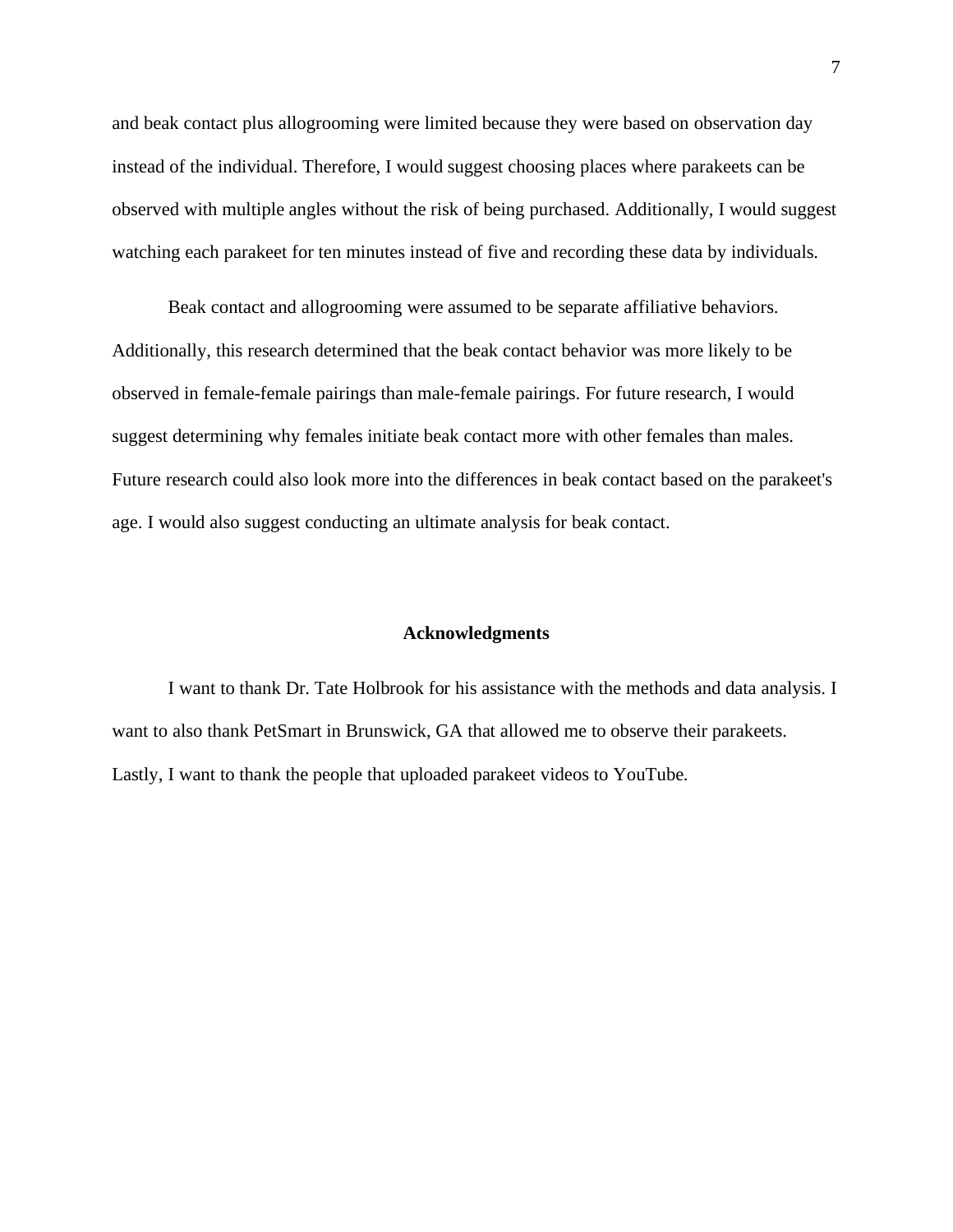and beak contact plus allogrooming were limited because they were based on observation day instead of the individual. Therefore, I would suggest choosing places where parakeets can be observed with multiple angles without the risk of being purchased. Additionally, I would suggest watching each parakeet for ten minutes instead of five and recording these data by individuals.

Beak contact and allogrooming were assumed to be separate affiliative behaviors. Additionally, this research determined that the beak contact behavior was more likely to be observed in female-female pairings than male-female pairings. For future research, I would suggest determining why females initiate beak contact more with other females than males. Future research could also look more into the differences in beak contact based on the parakeet's age. I would also suggest conducting an ultimate analysis for beak contact.

#### **Acknowledgments**

I want to thank Dr. Tate Holbrook for his assistance with the methods and data analysis. I want to also thank PetSmart in Brunswick, GA that allowed me to observe their parakeets. Lastly, I want to thank the people that uploaded parakeet videos to YouTube.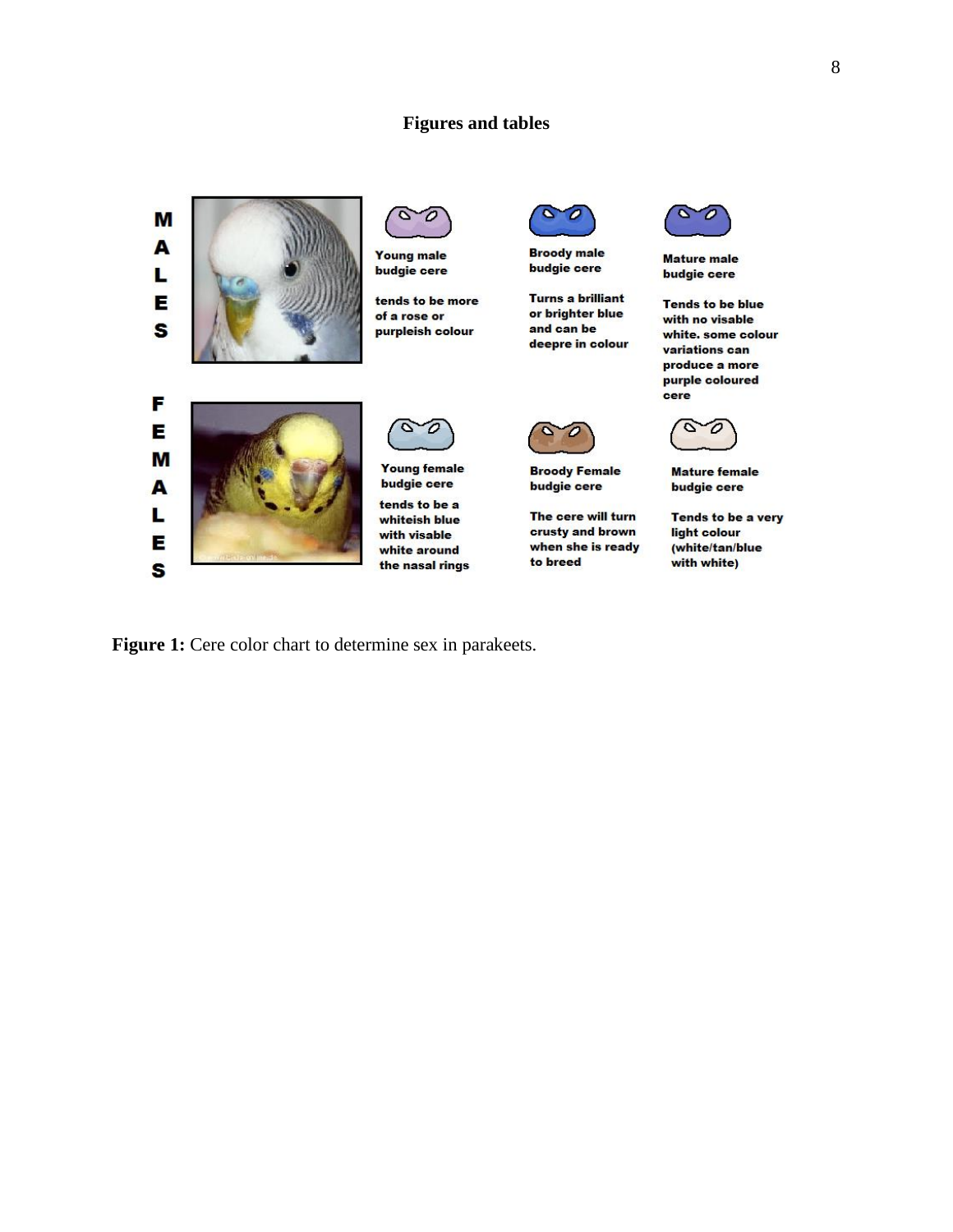# **Figures and tables**



Figure 1: Cere color chart to determine sex in parakeets.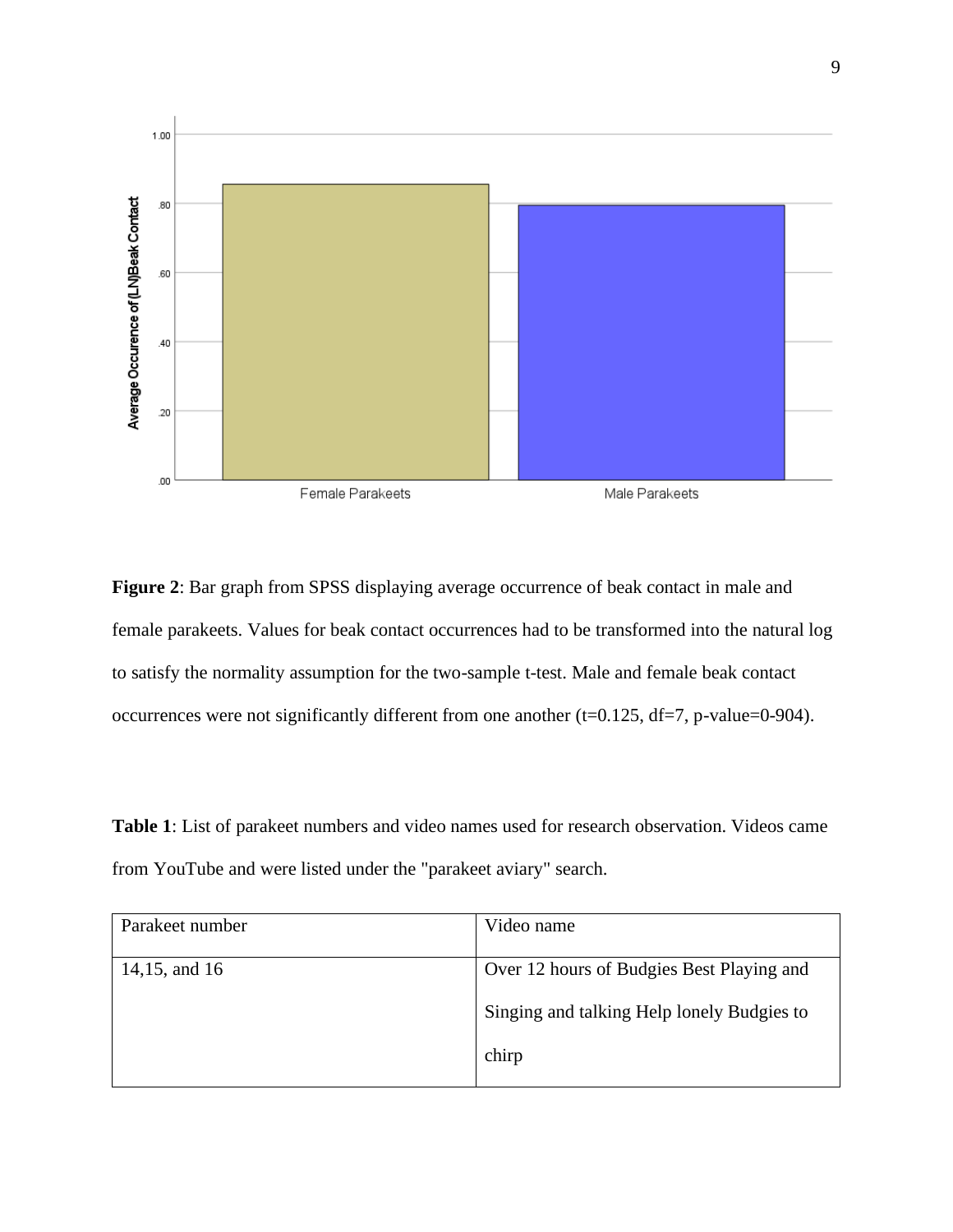

**Figure 2**: Bar graph from SPSS displaying average occurrence of beak contact in male and female parakeets. Values for beak contact occurrences had to be transformed into the natural log to satisfy the normality assumption for the two-sample t-test. Male and female beak contact occurrences were not significantly different from one another (t=0.125, df=7, p-value=0-904).

**Table 1**: List of parakeet numbers and video names used for research observation. Videos came from YouTube and were listed under the "parakeet aviary" search.

| Parakeet number | Video name                                 |  |
|-----------------|--------------------------------------------|--|
| 14,15, and 16   | Over 12 hours of Budgies Best Playing and  |  |
|                 | Singing and talking Help lonely Budgies to |  |
|                 | chirp                                      |  |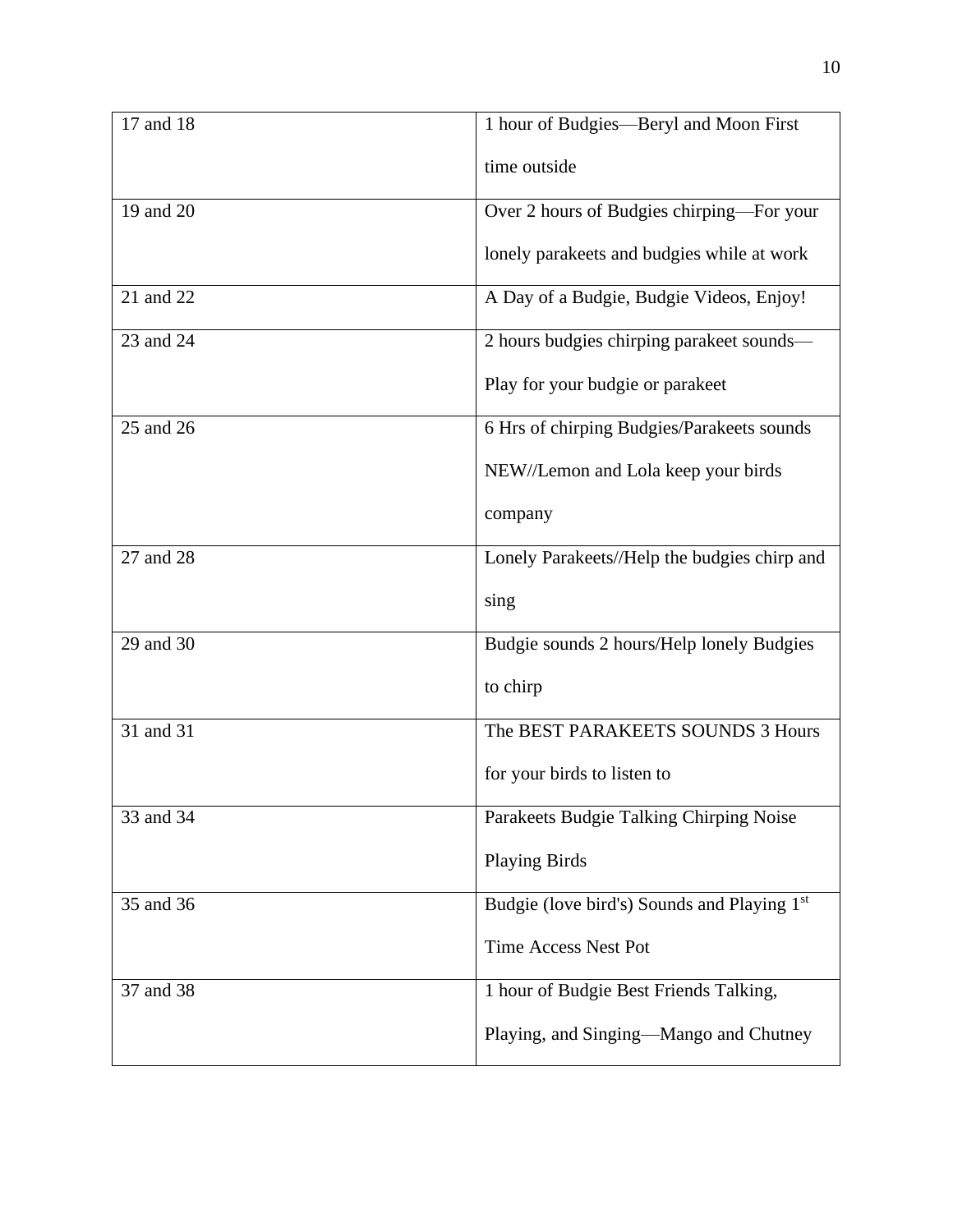| 17 and 18   | 1 hour of Budgies-Beryl and Moon First       |  |  |
|-------------|----------------------------------------------|--|--|
|             | time outside                                 |  |  |
| 19 and 20   | Over 2 hours of Budgies chirping-For your    |  |  |
|             | lonely parakeets and budgies while at work   |  |  |
| 21 and 22   | A Day of a Budgie, Budgie Videos, Enjoy!     |  |  |
| 23 and $24$ | 2 hours budgies chirping parakeet sounds-    |  |  |
|             | Play for your budgie or parakeet             |  |  |
| 25 and 26   | 6 Hrs of chirping Budgies/Parakeets sounds   |  |  |
|             | NEW//Lemon and Lola keep your birds          |  |  |
|             | company                                      |  |  |
| 27 and 28   | Lonely Parakeets//Help the budgies chirp and |  |  |
|             | sing                                         |  |  |
| 29 and 30   | Budgie sounds 2 hours/Help lonely Budgies    |  |  |
|             | to chirp                                     |  |  |
| 31 and 31   | The BEST PARAKEETS SOUNDS 3 Hours            |  |  |
|             | for your birds to listen to                  |  |  |
| 33 and 34   | Parakeets Budgie Talking Chirping Noise      |  |  |
|             | <b>Playing Birds</b>                         |  |  |
| 35 and 36   | Budgie (love bird's) Sounds and Playing 1st  |  |  |
|             | <b>Time Access Nest Pot</b>                  |  |  |
| 37 and 38   | 1 hour of Budgie Best Friends Talking,       |  |  |
|             | Playing, and Singing—Mango and Chutney       |  |  |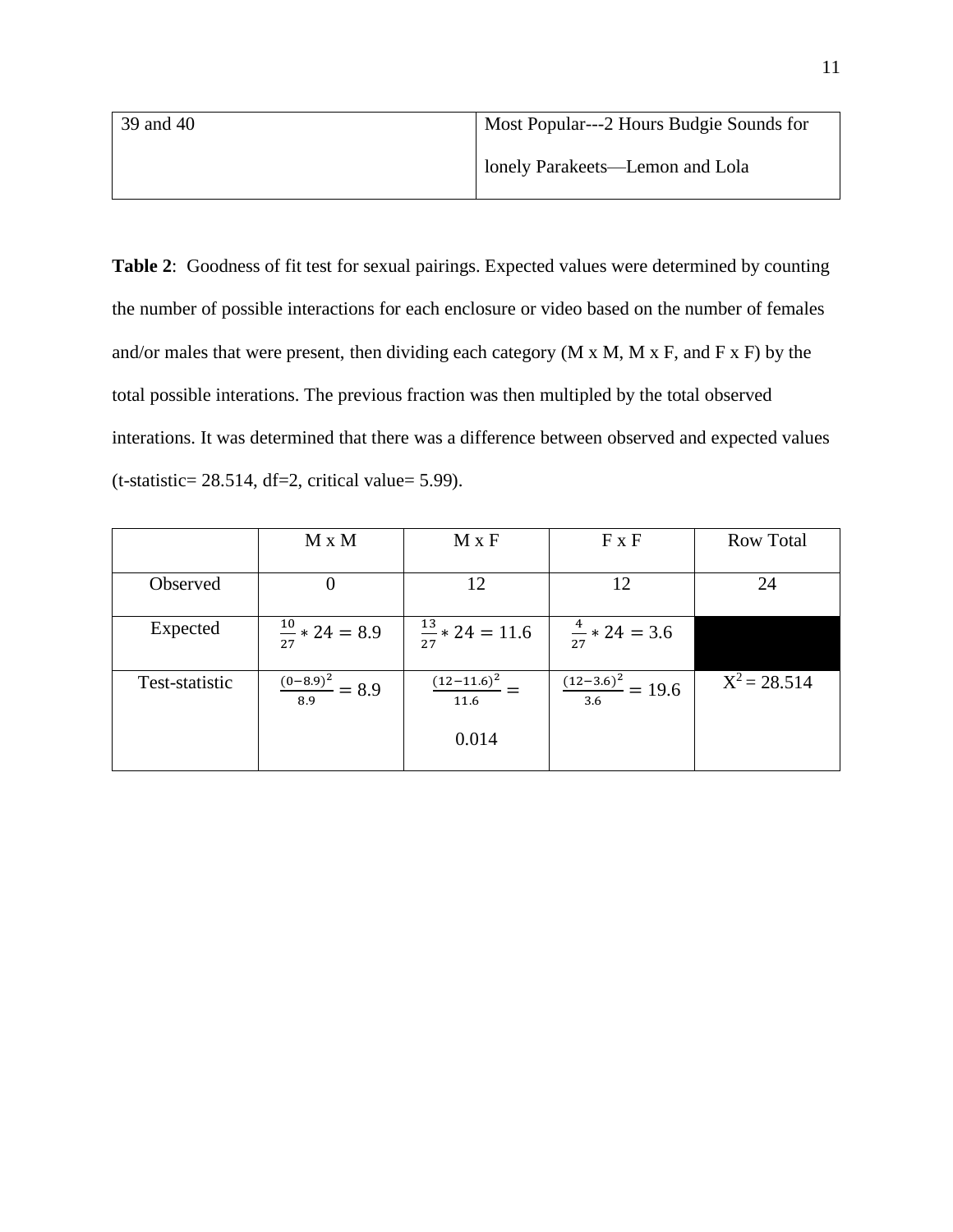| 39 and 40 | Most Popular---2 Hours Budgie Sounds for |  |  |
|-----------|------------------------------------------|--|--|
|           | lonely Parakeets—Lemon and Lola          |  |  |

**Table 2**: Goodness of fit test for sexual pairings. Expected values were determined by counting the number of possible interactions for each enclosure or video based on the number of females and/or males that were present, then dividing each category  $(M \times M, M \times F)$ , and  $F \times F$ ) by the total possible interations. The previous fraction was then multipled by the total observed interations. It was determined that there was a difference between observed and expected values  $(t-statistic= 28.514, df=2, critical value= 5.99).$ 

|                | $M \times M$                  | $M \times F$                | $F \times F$                    | <b>Row Total</b> |
|----------------|-------------------------------|-----------------------------|---------------------------------|------------------|
|                |                               |                             |                                 |                  |
| Observed       |                               | 12                          | 12                              | 24               |
|                |                               |                             |                                 |                  |
| Expected       | $\frac{10}{27}$ * 24 = 8.9    | $\frac{13}{27}$ * 24 = 11.6 | $\frac{4}{27}$ * 24 = 3.6       |                  |
|                |                               |                             |                                 |                  |
| Test-statistic | $\frac{(0-8.9)^2}{8.9} = 8.9$ | $\frac{(12-11.6)^2}{2}$ –   | $\frac{(12-3.6)^2}{3.6} = 19.6$ | $X^2 = 28.514$   |
|                |                               | 11.6                        |                                 |                  |
|                |                               |                             |                                 |                  |
|                |                               | 0.014                       |                                 |                  |
|                |                               |                             |                                 |                  |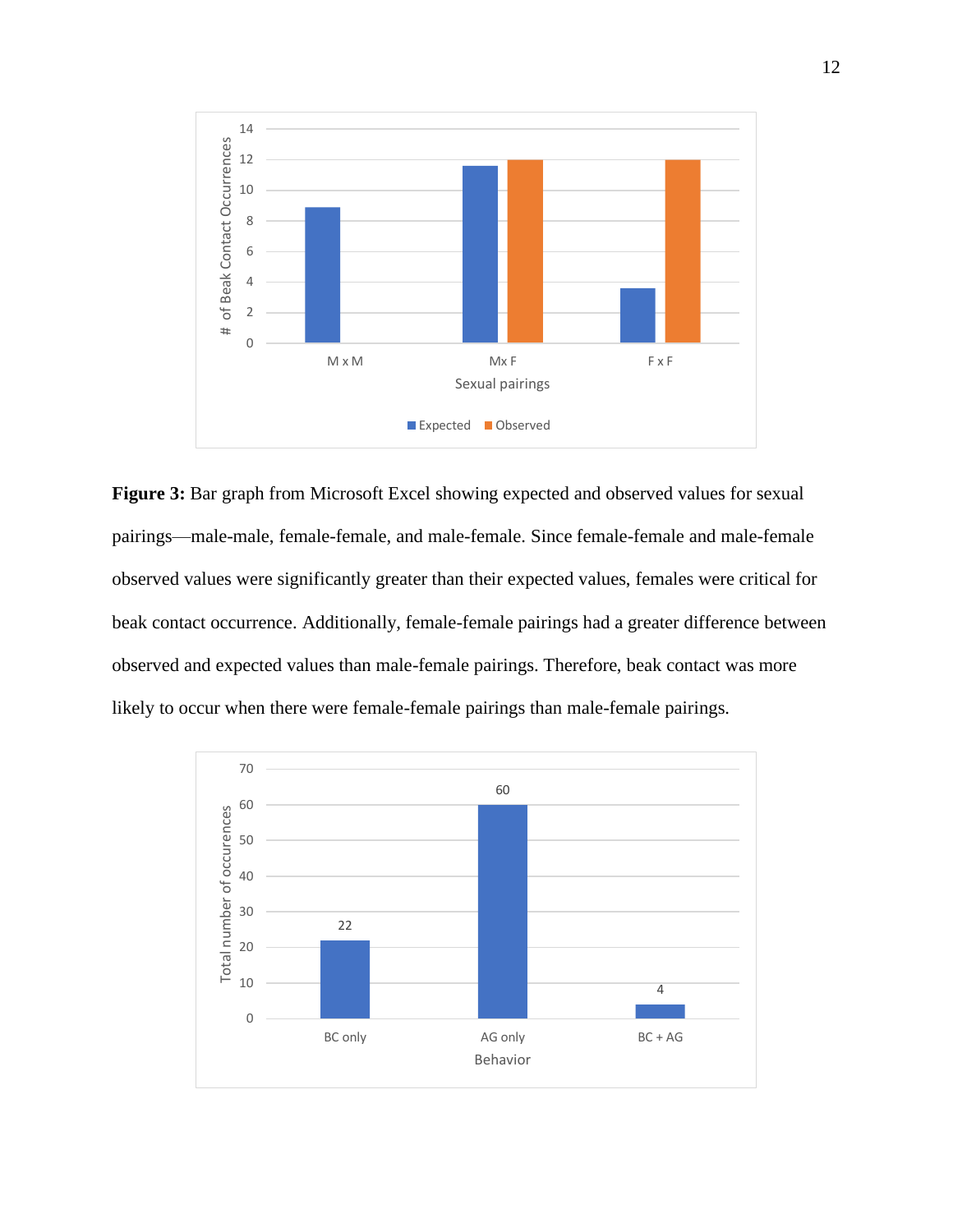

**Figure 3:** Bar graph from Microsoft Excel showing expected and observed values for sexual pairings—male-male, female-female, and male-female. Since female-female and male-female observed values were significantly greater than their expected values, females were critical for beak contact occurrence. Additionally, female-female pairings had a greater difference between observed and expected values than male-female pairings. Therefore, beak contact was more likely to occur when there were female-female pairings than male-female pairings.